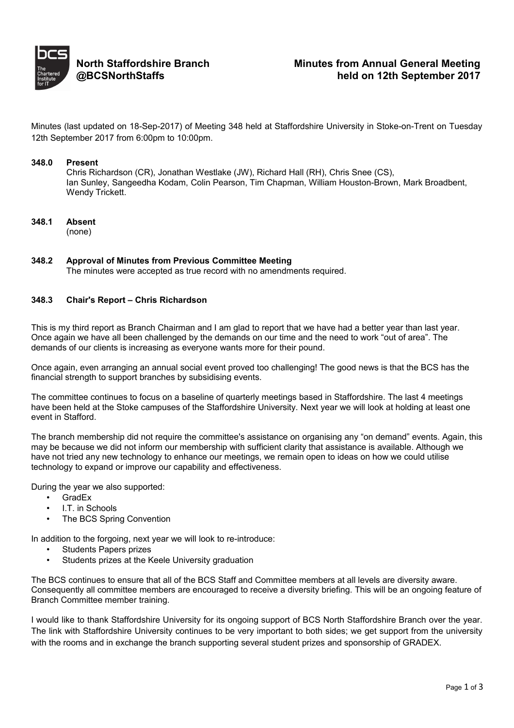

Minutes (last updated on 18-Sep-2017) of Meeting 348 held at Staffordshire University in Stoke-on-Trent on Tuesday 12th September 2017 from 6:00pm to 10:00pm.

### **348.0 Present**

Chris Richardson (CR), Jonathan Westlake (JW), Richard Hall (RH), Chris Snee (CS), Ian Sunley, Sangeedha Kodam, Colin Pearson, Tim Chapman, William Houston-Brown, Mark Broadbent, Wendy Trickett.

**348.1 Absent**

(none)

**348.2 Approval of Minutes from Previous Committee Meeting** The minutes were accepted as true record with no amendments required.

## **348.3 Chair's Report – Chris Richardson**

This is my third report as Branch Chairman and I am glad to report that we have had a better year than last year. Once again we have all been challenged by the demands on our time and the need to work "out of area". The demands of our clients is increasing as everyone wants more for their pound.

Once again, even arranging an annual social event proved too challenging! The good news is that the BCS has the financial strength to support branches by subsidising events.

The committee continues to focus on a baseline of quarterly meetings based in Staffordshire. The last 4 meetings have been held at the Stoke campuses of the Staffordshire University. Next year we will look at holding at least one event in Stafford.

The branch membership did not require the committee's assistance on organising any "on demand" events. Again, this may be because we did not inform our membership with sufficient clarity that assistance is available. Although we have not tried any new technology to enhance our meetings, we remain open to ideas on how we could utilise technology to expand or improve our capability and effectiveness.

During the year we also supported:

- GradEx
- I.T. in Schools
- The BCS Spring Convention

In addition to the forgoing, next year we will look to re-introduce:

- Students Papers prizes
- Students prizes at the Keele University graduation

The BCS continues to ensure that all of the BCS Staff and Committee members at all levels are diversity aware. Consequently all committee members are encouraged to receive a diversity briefing. This will be an ongoing feature of Branch Committee member training.

I would like to thank Staffordshire University for its ongoing support of BCS North Staffordshire Branch over the year. The link with Staffordshire University continues to be very important to both sides; we get support from the university with the rooms and in exchange the branch supporting several student prizes and sponsorship of GRADEX.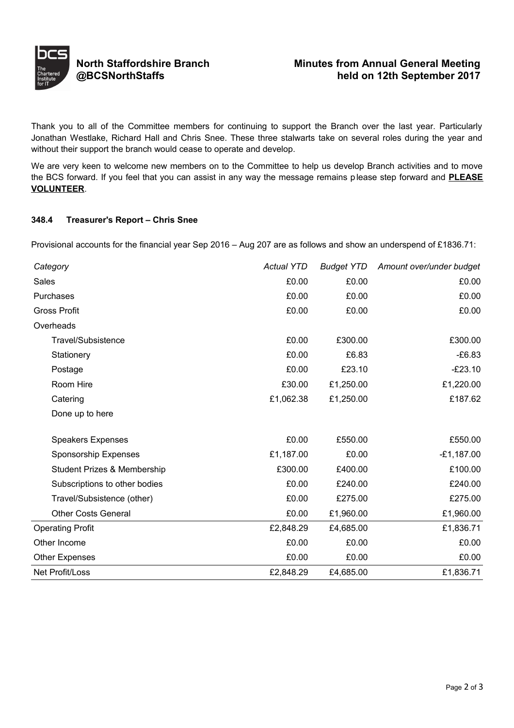

Thank you to all of the Committee members for continuing to support the Branch over the last year. Particularly Jonathan Westlake, Richard Hall and Chris Snee. These three stalwarts take on several roles during the year and without their support the branch would cease to operate and develop.

We are very keen to welcome new members on to the Committee to help us develop Branch activities and to move the BCS forward. If you feel that you can assist in any way the message remains please step forward and **PLEASE VOLUNTEER**.

## **348.4 Treasurer's Report – Chris Snee**

Provisional accounts for the financial year Sep 2016 – Aug 207 are as follows and show an underspend of £1836.71:

| Category                               | <b>Actual YTD</b> | <b>Budget YTD</b> | Amount over/under budget |
|----------------------------------------|-------------------|-------------------|--------------------------|
| <b>Sales</b>                           | £0.00             | £0.00             | £0.00                    |
| Purchases                              | £0.00             | £0.00             | £0.00                    |
| <b>Gross Profit</b>                    | £0.00             | £0.00             | £0.00                    |
| Overheads                              |                   |                   |                          |
| Travel/Subsistence                     | £0.00             | £300.00           | £300.00                  |
| Stationery                             | £0.00             | £6.83             | $-£6.83$                 |
| Postage                                | £0.00             | £23.10            | $-E23.10$                |
| Room Hire                              | £30.00            | £1,250.00         | £1,220.00                |
| Catering                               | £1,062.38         | £1,250.00         | £187.62                  |
| Done up to here                        |                   |                   |                          |
| <b>Speakers Expenses</b>               | £0.00             | £550.00           | £550.00                  |
| <b>Sponsorship Expenses</b>            | £1,187.00         | £0.00             | $-£1,187.00$             |
| <b>Student Prizes &amp; Membership</b> | £300.00           | £400.00           | £100.00                  |
| Subscriptions to other bodies          | £0.00             | £240.00           | £240.00                  |
| Travel/Subsistence (other)             | £0.00             | £275.00           | £275.00                  |
| <b>Other Costs General</b>             | £0.00             | £1,960.00         | £1,960.00                |
| <b>Operating Profit</b>                | £2,848.29         | £4,685.00         | £1,836.71                |
| Other Income                           | £0.00             | £0.00             | £0.00                    |
| Other Expenses                         | £0.00             | £0.00             | £0.00                    |
| Net Profit/Loss                        | £2,848.29         | £4,685.00         | £1,836.71                |